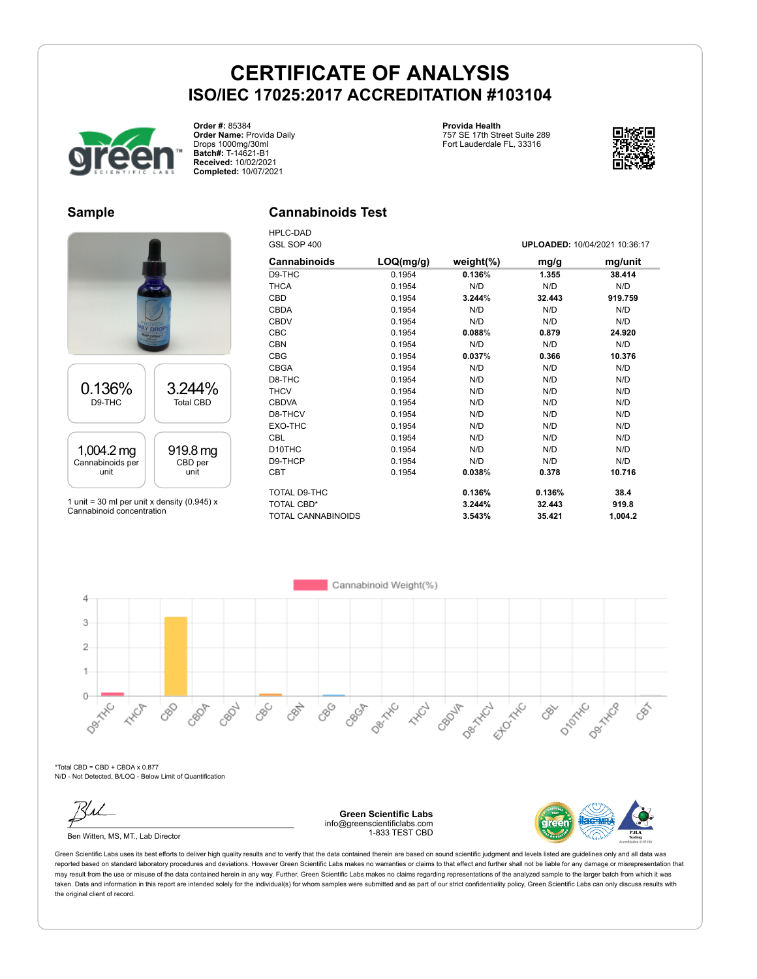

**Order #:** 85384 **Order Name:** Provida Daily Drops 1000mg/30ml **Batch#:** T-14621-B1 **Received:** 10/02/2021 **Completed:** 10/07/2021

#### **Provida Health** 757 SE 17th Street Suite 289 Fort Lauderdale FL, 33316



### **Sample**

# 0.136% D9-THC 3.244% Total CBD 1,004.2 mg Cannabinoids per unit 919.8 mg CBD per unit

1 unit = 30 ml per unit x density (0.945)  $x$ Cannabinoid concentration

### **Cannabinoids Test**

HPLC-DAD GSL SOP 400 **UPLOADED:** 10/04/2021 10:36:17

| Cannabinoids              | LOQ(mg/g) | weight $(\%)$ | mg/g   | mg/unit |
|---------------------------|-----------|---------------|--------|---------|
| D9-THC                    | 0.1954    | 0.136%        | 1.355  | 38.414  |
| <b>THCA</b>               | 0.1954    | N/D           | N/D    | N/D     |
| CBD                       | 0.1954    | 3.244%        | 32.443 | 919.759 |
| <b>CBDA</b>               | 0.1954    | N/D           | N/D    | N/D     |
| <b>CBDV</b>               | 0.1954    | N/D           | N/D    | N/D     |
| <b>CBC</b>                | 0.1954    | 0.088%        | 0.879  | 24.920  |
| <b>CBN</b>                | 0.1954    | N/D           | N/D    | N/D     |
| <b>CBG</b>                | 0.1954    | 0.037%        | 0.366  | 10.376  |
| <b>CBGA</b>               | 0.1954    | N/D           | N/D    | N/D     |
| D8-THC                    | 0.1954    | N/D           | N/D    | N/D     |
| <b>THCV</b>               | 0.1954    | N/D           | N/D    | N/D     |
| <b>CBDVA</b>              | 0.1954    | N/D           | N/D    | N/D     |
| D8-THCV                   | 0.1954    | N/D           | N/D    | N/D     |
| EXO-THC                   | 0.1954    | N/D           | N/D    | N/D     |
| CBL                       | 0.1954    | N/D           | N/D    | N/D     |
| D <sub>10</sub> THC       | 0.1954    | N/D           | N/D    | N/D     |
| D9-THCP                   | 0.1954    | N/D           | N/D    | N/D     |
| CBT                       | 0.1954    | 0.038%        | 0.378  | 10.716  |
| TOTAL D9-THC              |           | 0.136%        | 0.136% | 38.4    |
| <b>TOTAL CBD*</b>         |           | 3.244%        | 32.443 | 919.8   |
| <b>TOTAL CANNABINOIDS</b> |           | 3.543%        | 35.421 | 1,004.2 |

Desired

Ellowski

CBOJF

Dex Hic \*Total CBD = CBD + CBDA x 0.877 N/D - Not Detected, B/LOQ - Below Limit of Quantification

**HAVE** 

880

CBOP

CBDV

 $\circ$ 

Ben Witten, MS, MT., Lab Director

**Green Scientific Labs** info@greenscientificlabs.com 1-833 TEST CBD

Dec Tric

CBOF

**HARCH** 

CBC

CBN

890

Cannabinoid Weight(%)



Dentron

EEE

D-Mork

 $\mathcal{S}^{\sim}$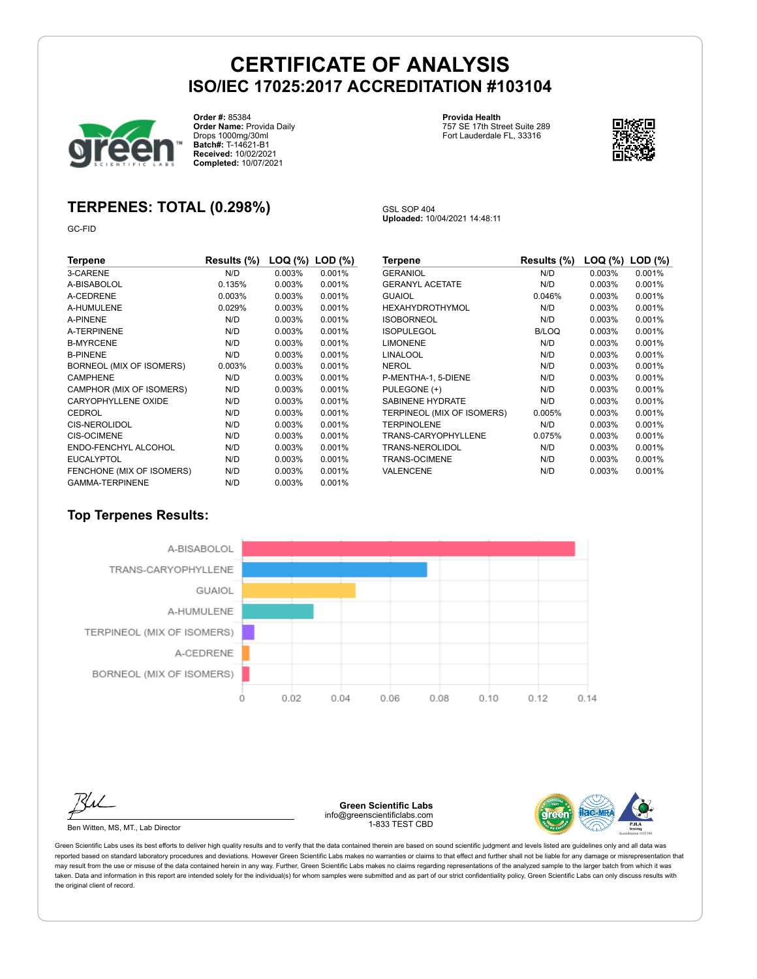GSL SOP 404

**Uploaded:** 10/04/2021 14:48:11



**Order #:** 85384 **Order Name:** Provida Daily Drops 1000mg/30ml **Batch#:** T-14621-B1 **Received:** 10/02/2021 **Completed:** 10/07/2021

#### **Provida Health** 757 SE 17th Street Suite 289 Fort Lauderdale FL, 33316



### **TERPENES: TOTAL (0.298%)**

GC-FID

| Terpene                   | Results (%) | LOQ (%)   | $LOD$ $(\%)$ |
|---------------------------|-------------|-----------|--------------|
| 3-CARENE                  | N/D         | 0.003%    | 0.001%       |
| A-BISABOLOL               | 0.135%      | 0.003%    | 0.001%       |
| A-CEDRENE                 | 0.003%      | 0.003%    | 0.001%       |
| A-HUMULENE                | 0.029%      | 0.003%    | 0.001%       |
| A-PINENE                  | N/D         | 0.003%    | 0.001%       |
| A-TERPINENE               | N/D         | 0.003%    | 0.001%       |
| <b>B-MYRCENE</b>          | N/D         | $0.003\%$ | 0.001%       |
| <b>B-PINENE</b>           | N/D         | 0.003%    | 0.001%       |
| BORNEOL (MIX OF ISOMERS)  | 0.003%      | 0.003%    | 0.001%       |
| <b>CAMPHENE</b>           | N/D         | $0.003\%$ | 0.001%       |
| CAMPHOR (MIX OF ISOMERS)  | N/D         | $0.003\%$ | 0.001%       |
| CARYOPHYLLENE OXIDE       | N/D         | $0.003\%$ | 0.001%       |
| CEDROL                    | N/D         | 0.003%    | 0.001%       |
| <b>CIS-NEROLIDOL</b>      | N/D         | $0.003\%$ | 0.001%       |
| <b>CIS-OCIMENE</b>        | N/D         | $0.003\%$ | 0.001%       |
| ENDO-FENCHYL ALCOHOL      | N/D         | 0.003%    | 0.001%       |
| <b>EUCALYPTOL</b>         | N/D         | 0.003%    | 0.001%       |
| FENCHONE (MIX OF ISOMERS) | N/D         | 0.003%    | 0.001%       |
| <b>GAMMA-TERPINENE</b>    | N/D         | 0.003%    | 0.001%       |

| Terpene                    | Results (%)  | LOQ (%) | $LOD$ $(\%)$ |
|----------------------------|--------------|---------|--------------|
| <b>GERANIOL</b>            | N/D          | 0.003%  | 0.001%       |
| <b>GERANYL ACETATE</b>     | N/D          | 0.003%  | 0.001%       |
| GUAIOL                     | 0.046%       | 0.003%  | 0.001%       |
| HEXAHYDROTHYMOL            | N/D          | 0.003%  | 0.001%       |
| <b>ISOBORNEOL</b>          | N/D          | 0.003%  | 0.001%       |
| <b>ISOPULEGOL</b>          | <b>B/LOQ</b> | 0.003%  | 0.001%       |
| <b>LIMONENE</b>            | N/D          | 0.003%  | 0.001%       |
| LINALOOL                   | N/D          | 0.003%  | 0.001%       |
| NEROL                      | N/D          | 0.003%  | 0.001%       |
| P-MENTHA-1, 5-DIENE        | N/D          | 0.003%  | 0.001%       |
| PULEGONE (+)               | N/D          | 0.003%  | 0.001%       |
| <b>SABINENE HYDRATE</b>    | N/D          | 0.003%  | 0.001%       |
| TERPINEOL (MIX OF ISOMERS) | 0.005%       | 0.003%  | 0.001%       |
| <b>TERPINOLENE</b>         | N/D          | 0.003%  | 0.001%       |
| TRANS-CARYOPHYLLENE        | 0.075%       | 0.003%  | 0.001%       |
| TRANS-NEROLIDOL            | N/D          | 0.003%  | 0.001%       |
| TRANS-OCIMENE              | N/D          | 0.003%  | 0.001%       |
| VALENCENE                  | N/D          | 0.003%  | 0.001%       |

### **Top Terpenes Results:**



Ben Witten, MS, MT., Lab Director

**Green Scientific Labs** info@greenscientificlabs.com 1-833 TEST CBD

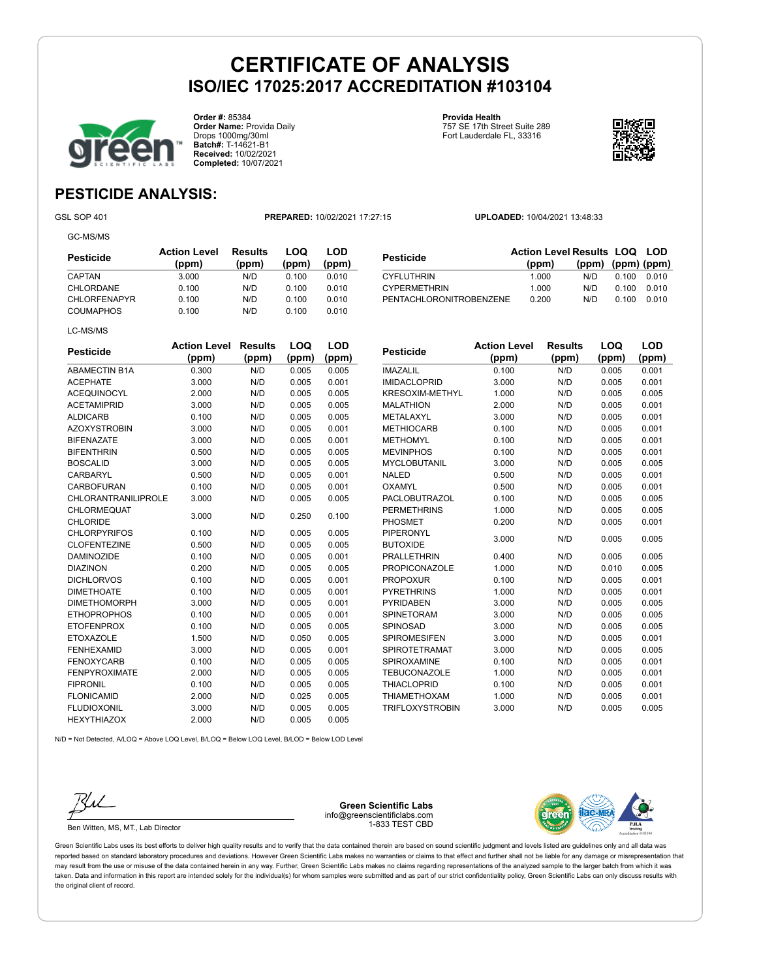**Pesticide** 



**Order #:** 85384 **Order Name:** Provida Daily Drops 1000mg/30ml **Batch#:** T-14621-B1 **Received:** 10/02/2021 **Completed:** 10/07/2021

**Provida Health** 757 SE 17th Street Suite 289 Fort Lauderdale FL, 33316



**Results LOQ LOD (ppm) (ppm) (ppm)**

## **PESTICIDE ANALYSIS:**

GC-MS/MS

GSL SOP 401 **PREPARED:** 10/02/2021 17:27:15 **UPLOADED:** 10/04/2021 13:48:33

**(ppm)**

| Pesticide           | <b>Action Level</b><br>(ppm) | <b>Results</b><br>(ppm) | LOQ<br>(ppm) | LOD<br>(ppm) |
|---------------------|------------------------------|-------------------------|--------------|--------------|
| CAPTAN              | 3.000                        | N/D                     | 0.100        | 0.010        |
| CHLORDANE           | 0.100                        | N/D                     | 0.100        | 0.010        |
| <b>CHLORFENAPYR</b> | 0.100                        | N/D                     | 0.100        | 0.010        |
| <b>COUMAPHOS</b>    | 0.100                        | N/D                     | 0.100        | 0.010        |
| LC-MS/MS            |                              |                         |              |              |

| <b>Pesticide</b>           | <b>Action Level</b> | Results | LOQ   | <b>LOD</b> |
|----------------------------|---------------------|---------|-------|------------|
|                            | (ppm)               | (ppm)   | (ppm) | (ppm)      |
| <b>ABAMECTIN B1A</b>       | 0.300               | N/D     | 0.005 | 0.005      |
| <b>ACEPHATE</b>            | 3.000               | N/D     | 0.005 | 0.001      |
| <b>ACEQUINOCYL</b>         | 2.000               | N/D     | 0.005 | 0.005      |
| <b>ACETAMIPRID</b>         | 3.000               | N/D     | 0.005 | 0.005      |
| <b>ALDICARB</b>            | 0.100               | N/D     | 0.005 | 0.005      |
| <b>AZOXYSTROBIN</b>        | 3.000               | N/D     | 0.005 | 0.001      |
| <b>BIFENAZATE</b>          | 3.000               | N/D     | 0.005 | 0.001      |
| <b>BIFENTHRIN</b>          | 0.500               | N/D     | 0.005 | 0.005      |
| <b>BOSCALID</b>            | 3.000               | N/D     | 0.005 | 0.005      |
| CARBARYL                   | 0.500               | N/D     | 0.005 | 0.001      |
| <b>CARBOFURAN</b>          | 0.100               | N/D     | 0.005 | 0.001      |
| <b>CHLORANTRANILIPROLE</b> | 3.000               | N/D     | 0.005 | 0.005      |
| <b>CHLORMEQUAT</b>         | 3.000               | N/D     | 0.250 | 0.100      |
| <b>CHLORIDE</b>            |                     |         |       |            |
| <b>CHLORPYRIFOS</b>        | 0.100               | N/D     | 0.005 | 0.005      |
| <b>CLOFENTEZINE</b>        | 0.500               | N/D     | 0.005 | 0.005      |
| <b>DAMINOZIDE</b>          | 0.100               | N/D     | 0.005 | 0.001      |
| <b>DIAZINON</b>            | 0.200               | N/D     | 0.005 | 0.005      |
| <b>DICHLORVOS</b>          | 0.100               | N/D     | 0.005 | 0.001      |
| <b>DIMETHOATE</b>          | 0.100               | N/D     | 0.005 | 0.001      |
| <b>DIMETHOMORPH</b>        | 3.000               | N/D     | 0.005 | 0.001      |
| <b>ETHOPROPHOS</b>         | 0.100               | N/D     | 0.005 | 0.001      |
| <b>ETOFENPROX</b>          | 0.100               | N/D     | 0.005 | 0.005      |
| <b>ETOXAZOLE</b>           | 1.500               | N/D     | 0.050 | 0.005      |
| <b>FENHEXAMID</b>          | 3.000               | N/D     | 0.005 | 0.001      |
| <b>FENOXYCARB</b>          | 0.100               | N/D     | 0.005 | 0.005      |
| <b>FENPYROXIMATE</b>       | 2.000               | N/D     | 0.005 | 0.005      |
| <b>FIPRONIL</b>            | 0.100               | N/D     | 0.005 | 0.005      |
| <b>FLONICAMID</b>          | 2.000               | N/D     | 0.025 | 0.005      |
| <b>FLUDIOXONIL</b>         | 3.000               | N/D     | 0.005 | 0.005      |
| <b>HEXYTHIAZOX</b>         | 2.000               | N/D     | 0.005 | 0.005      |

| <b>CYFLUTHRIN</b>       |                     | 1.000   | N/D<br>0.100 | 0.010 |
|-------------------------|---------------------|---------|--------------|-------|
| <b>CYPERMETHRIN</b>     |                     | 1.000   | N/D<br>0.100 | 0.010 |
| PENTACHLORONITROBENZENE |                     | 0.200   | N/D<br>0.100 | 0.010 |
|                         |                     |         |              |       |
|                         |                     |         |              |       |
|                         | <b>Action Level</b> | Results | LOQ          | LOD   |
| Pesticide               |                     |         |              |       |
|                         | (ppm)               | (ppm)   | (ppm)        | (ppm) |
| <b>IMAZALIL</b>         | 0.100               | N/D     | 0.005        | 0.001 |
| <b>IMIDACLOPRID</b>     | 3.000               | N/D     | 0.005        | 0.001 |
| <b>KRESOXIM-METHYL</b>  | 1.000               | N/D     | 0.005        | 0.005 |
| <b>MALATHION</b>        | 2.000               | N/D     | 0.005        | 0.001 |
| METALAXYL               | 3.000               | N/D     | 0.005        | 0.001 |
| <b>METHIOCARB</b>       | 0.100               | N/D     | 0.005        | 0.001 |
| <b>METHOMYL</b>         | 0.100               | N/D     | 0.005        | 0.001 |
|                         |                     |         |              |       |

| KRESOXIM-METHYL        | 1.000 | N/D | 0.005 | 0.005 |
|------------------------|-------|-----|-------|-------|
| <b>MALATHION</b>       | 2.000 | N/D | 0.005 | 0.001 |
| METALAXYL              | 3.000 | N/D | 0.005 | 0.001 |
| <b>METHIOCARB</b>      | 0.100 | N/D | 0.005 | 0.001 |
| <b>METHOMYL</b>        | 0.100 | N/D | 0.005 | 0.001 |
| <b>MEVINPHOS</b>       | 0.100 | N/D | 0.005 | 0.001 |
| MYCLOBUTANIL           | 3.000 | N/D | 0.005 | 0.005 |
| <b>NALED</b>           | 0.500 | N/D | 0.005 | 0.001 |
| OXAMYL                 | 0.500 | N/D | 0.005 | 0.001 |
| <b>PACLOBUTRAZOL</b>   | 0.100 | N/D | 0.005 | 0.005 |
| <b>PERMETHRINS</b>     | 1.000 | N/D | 0.005 | 0.005 |
| <b>PHOSMET</b>         | 0.200 | N/D | 0.005 | 0.001 |
| <b>PIPERONYL</b>       | 3.000 | N/D | 0.005 | 0.005 |
| <b>BUTOXIDE</b>        |       |     |       |       |
| <b>PRALLETHRIN</b>     | 0.400 | N/D | 0.005 | 0.005 |
| <b>PROPICONAZOLE</b>   | 1.000 | N/D | 0.010 | 0.005 |
| <b>PROPOXUR</b>        | 0.100 | N/D | 0.005 | 0.001 |
| <b>PYRETHRINS</b>      | 1.000 | N/D | 0.005 | 0.001 |
| <b>PYRIDABEN</b>       | 3.000 | N/D | 0.005 | 0.005 |
| <b>SPINETORAM</b>      | 3.000 | N/D | 0.005 | 0.005 |
| SPINOSAD               | 3.000 | N/D | 0.005 | 0.005 |
| <b>SPIROMESIFEN</b>    | 3.000 | N/D | 0.005 | 0.001 |
| <b>SPIROTETRAMAT</b>   | 3.000 | N/D | 0.005 | 0.005 |
| SPIROXAMINE            | 0.100 | N/D | 0.005 | 0.001 |
| <b>TEBUCONAZOLE</b>    | 1.000 | N/D | 0.005 | 0.001 |
| <b>THIACLOPRID</b>     | 0.100 | N/D | 0.005 | 0.001 |
| <b>THIAMETHOXAM</b>    | 1.000 | N/D | 0.005 | 0.001 |
| <b>TRIFLOXYSTROBIN</b> | 3.000 | N/D | 0.005 | 0.005 |
|                        |       |     |       |       |

N/D = Not Detected, A/LOQ = Above LOQ Level, B/LOQ = Below LOQ Level, B/LOD = Below LOD Level



Ben Witten, MS, MT., Lab Director

**Green Scientific Labs** info@greenscientificlabs.com 1-833 TEST CBD

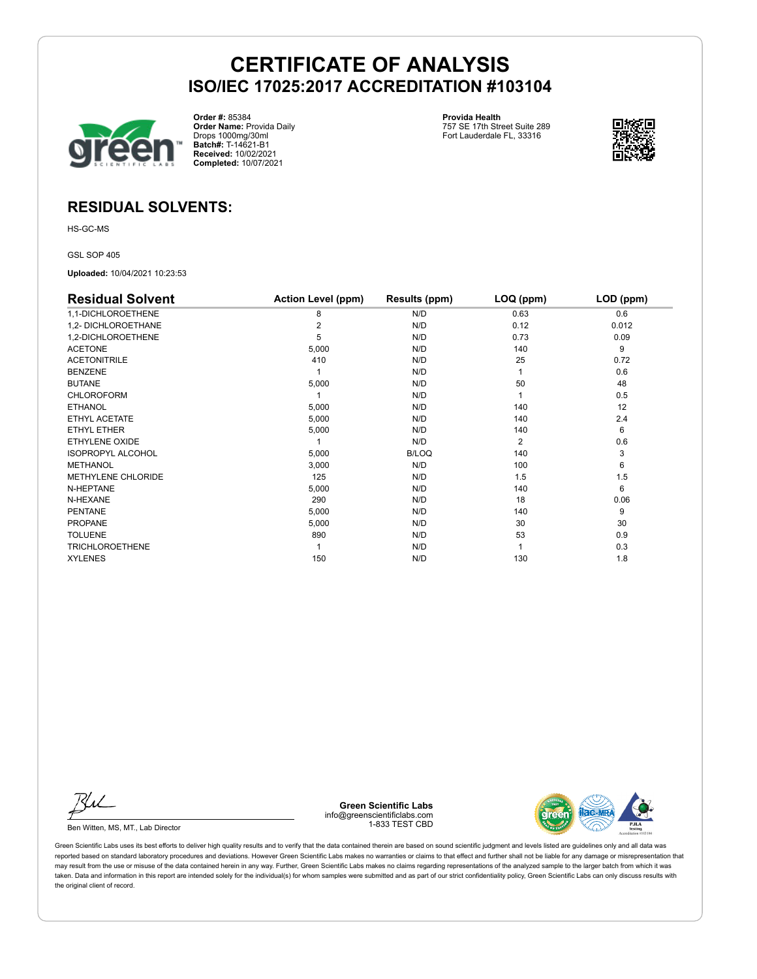

**Order #:** 85384 **Order Name:** Provida Daily Drops 1000mg/30ml **Batch#:** T-14621-B1 **Received:** 10/02/2021 **Completed:** 10/07/2021

**Provida Health** 757 SE 17th Street Suite 289 Fort Lauderdale FL, 33316



### **RESIDUAL SOLVENTS:**

HS-GC-MS

GSL SOP 405

**Uploaded:** 10/04/2021 10:23:53

| <b>Residual Solvent</b>  | <b>Action Level (ppm)</b> | Results (ppm) | LOQ (ppm) | LOD (ppm) |
|--------------------------|---------------------------|---------------|-----------|-----------|
| 1,1-DICHLOROETHENE       | 8                         | N/D           | 0.63      | 0.6       |
| 1,2- DICHLOROETHANE      | 2                         | N/D           | 0.12      | 0.012     |
| 1,2-DICHLOROETHENE       | 5                         | N/D           | 0.73      | 0.09      |
| <b>ACETONE</b>           | 5,000                     | N/D           | 140       | 9         |
| <b>ACETONITRILE</b>      | 410                       | N/D           | 25        | 0.72      |
| <b>BENZENE</b>           |                           | N/D           |           | 0.6       |
| <b>BUTANE</b>            | 5,000                     | N/D           | 50        | 48        |
| <b>CHLOROFORM</b>        |                           | N/D           |           | 0.5       |
| <b>ETHANOL</b>           | 5,000                     | N/D           | 140       | 12        |
| ETHYL ACETATE            | 5,000                     | N/D           | 140       | 2.4       |
| ETHYL ETHER              | 5,000                     | N/D           | 140       | 6         |
| <b>ETHYLENE OXIDE</b>    |                           | N/D           | 2         | 0.6       |
| <b>ISOPROPYL ALCOHOL</b> | 5,000                     | <b>B/LOQ</b>  | 140       | 3         |
| <b>METHANOL</b>          | 3,000                     | N/D           | 100       | 6         |
| METHYLENE CHLORIDE       | 125                       | N/D           | 1.5       | 1.5       |
| N-HEPTANE                | 5,000                     | N/D           | 140       | 6         |
| N-HEXANE                 | 290                       | N/D           | 18        | 0.06      |
| <b>PENTANE</b>           | 5,000                     | N/D           | 140       | 9         |
| <b>PROPANE</b>           | 5,000                     | N/D           | 30        | 30        |
| <b>TOLUENE</b>           | 890                       | N/D           | 53        | 0.9       |
| <b>TRICHLOROETHENE</b>   |                           | N/D           |           | 0.3       |
| <b>XYLENES</b>           | 150                       | N/D           | 130       | 1.8       |

Ru

Ben Witten, MS, MT., Lab Director

**Green Scientific Labs** info@greenscientificlabs.com 1-833 TEST CBD

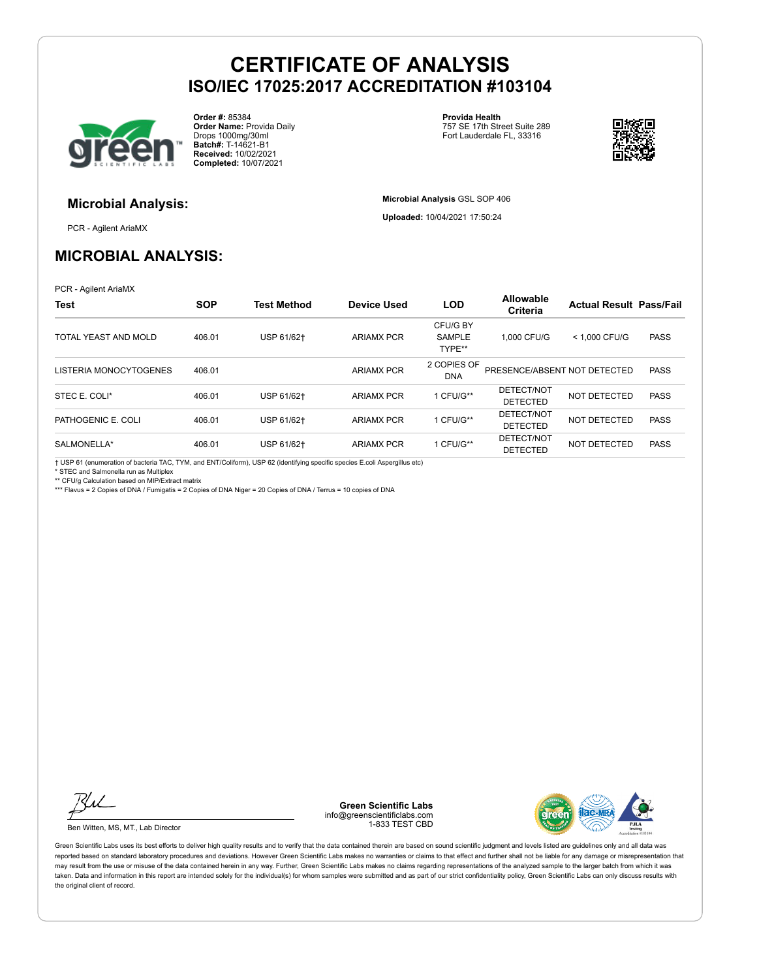

**Order #:** 85384 **Order Name:** Provida Daily Drops 1000mg/30ml **Batch#:** T-14621-B1 **Received:** 10/02/2021 **Completed:** 10/07/2021

**Provida Health** 757 SE 17th Street Suite 289 Fort Lauderdale FL, 33316

**Microbial Analysis** GSL SOP 406 **Uploaded:** 10/04/2021 17:50:24



# **Microbial Analysis:**

PCR - Agilent AriaMX

### **MICROBIAL ANALYSIS:**

PCR - Agilent AriaMX

| <b>Test</b>            | <b>SOP</b> | <b>Test Method</b> | <b>Device Used</b> | <b>LOD</b>                          | <b>Allowable</b><br><b>Criteria</b> | <b>Actual Result Pass/Fail</b> |             |
|------------------------|------------|--------------------|--------------------|-------------------------------------|-------------------------------------|--------------------------------|-------------|
| TOTAL YEAST AND MOLD   | 406.01     | USP 61/62+         | <b>ARIAMX PCR</b>  | CFU/G BY<br><b>SAMPLE</b><br>TYPE** | 1.000 CFU/G                         | < 1.000 CFU/G                  | <b>PASS</b> |
| LISTERIA MONOCYTOGENES | 406.01     |                    | <b>ARIAMX PCR</b>  | 2 COPIES OF<br><b>DNA</b>           | PRESENCE/ABSENT NOT DETECTED        |                                | <b>PASS</b> |
| STEC E. COLI*          | 406.01     | USP 61/62+         | <b>ARIAMX PCR</b>  | 1 CFU/G**                           | DETECT/NOT<br><b>DETECTED</b>       | NOT DETECTED                   | <b>PASS</b> |
| PATHOGENIC E. COLI     | 406.01     | USP 61/62+         | <b>ARIAMX PCR</b>  | 1 CFU/G**                           | DETECT/NOT<br><b>DETECTED</b>       | NOT DETECTED                   | <b>PASS</b> |
| SALMONELLA*            | 406.01     | USP 61/62+         | <b>ARIAMX PCR</b>  | 1 CFU/G**                           | DETECT/NOT<br><b>DETECTED</b>       | NOT DETECTED                   | <b>PASS</b> |

† USP 61 (enumeration of bacteria TAC, TYM, and ENT/Coliform), USP 62 (identifying specific species E.coli Aspergillus etc)

\* STEC and Salmonella run as Multiplex

\*\* CFU/g Calculation based on MIP/Extract matrix

\*\*\* Flavus = 2 Copies of DNA / Fumigatis = 2 Copies of DNA Niger = 20 Copies of DNA / Terrus = 10 copies of DNA

Ku

Ben Witten, MS, MT., Lab Director

**Green Scientific Labs** info@greenscientificlabs.com 1-833 TEST CBD